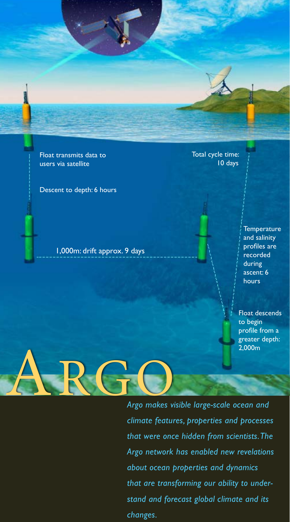Float transmits data to users via satellite

Descent to depth: 6 hours

1,000m: drift approx. 9 days

Total cycle time: 10 days

> **Temperature** and salinity profiles are recorded during ascent: 6 hours

Float descends to begin profile from a greater depth: 2,000m

ARGO *Argo makes visible large-scale ocean and climate features, properties and processes that were once hidden from scientists. The Argo network has enabled new revelations about ocean properties and dynamics that are transforming our ability to understand and forecast global climate and its changes.*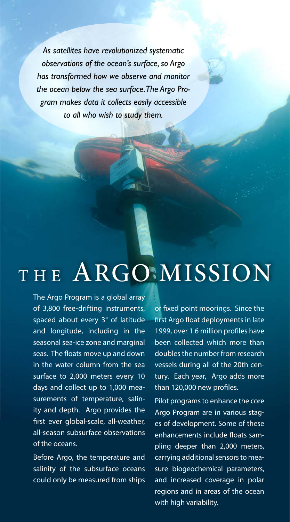*As satellites have revolutionized systematic observations of the ocean's surface, so Argo has transformed how we observe and monitor the ocean below the sea surface. The Argo Program makes data it collects easily accessible to all who wish to study them.*

# THE ARGO MISSION

The Argo Program is a global array of 3,800 free-drifting instruments, spaced about every 3° of latitude and longitude, including in the seasonal sea-ice zone and marginal seas. The floats move up and down in the water column from the sea surface to 2,000 meters every 10 days and collect up to 1,000 measurements of temperature, salinity and depth. Argo provides the first ever global-scale, all-weather, all-season subsurface observations of the oceans.

Before Argo, the temperature and salinity of the subsurface oceans could only be measured from ships

or fixed point moorings. Since the first Argo float deployments in late 1999, over 1.6 million profiles have been collected which more than doubles the number from research vessels during all of the 20th century. Each year, Argo adds more than 120,000 new profiles.

Pilot programs to enhance the core Argo Program are in various stages of development. Some of these enhancements include floats sampling deeper than 2,000 meters, carrying additional sensors to measure biogeochemical parameters, and increased coverage in polar regions and in areas of the ocean with high variability.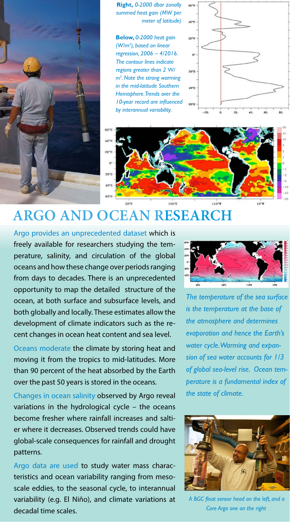

**Right,** *0-2000 dbar zonally summed heat gain (MW per meter of latitude)* 

**Below,** *0-2000 heat gain (W/m2 ), based on linear regression, 2006 – 4/2016. The contour lines indicate regions greater than 2* W/ m2 *. Note the strong warming in the mid-latitude Southern Hemisphere. Trends over the 10-year record are influenced by interannual variability.* 





## **Argo and ocean research**

Argo provides an unprecedented dataset which is freely available for researchers studying the temperature, salinity, and circulation of the global oceans and how these change over periods ranging from days to decades. There is an unprecedented opportunity to map the detailed structure of the ocean, at both surface and subsurface levels, and both globally and locally. These estimates allow the development of climate indicators such as the recent changes in ocean heat content and sea level.

Oceans moderate the climate by storing heat and moving it from the tropics to mid-latitudes. More than 90 percent of the heat absorbed by the Earth over the past 50 years is stored in the oceans.

Changes in ocean salinity observed by Argo reveal variations in the hydrological cycle – the oceans become fresher where rainfall increases and saltier where it decreases. Observed trends could have global-scale consequences for rainfall and drought patterns.

Argo data are used to study water mass characteristics and ocean variability ranging from mesoscale eddies, to the seasonal cycle, to interannual variability (e.g. El Niño), and climate variations at decadal time scales.



*The temperature of the sea surface is the temperature at the base of the atmosphere and determines evaporation and hence the Earth's water cycle. Warming and expansion of sea water accounts for 1/3 of global sea-level rise. Ocean temperature is a fundamental index of the state of climate.*



*A BGC float sensor head on the left, and a Core Argo one on the right*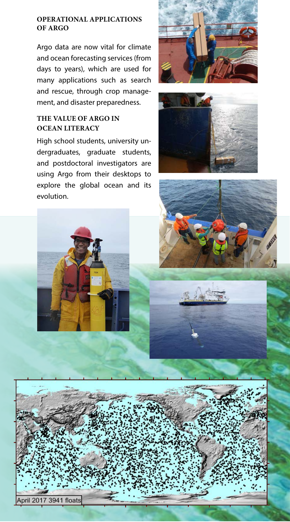#### **Operational applications of Argo**

Argo data are now vital for climate and ocean forecasting services (from days to years), which are used for many applications such as search and rescue, through crop management, and disaster preparedness.

### **The value of Argo in OCEAN LITERACY**

High school students, university undergraduates, graduate students, and postdoctoral investigators are using Argo from their desktops to explore the global ocean and its evolution.











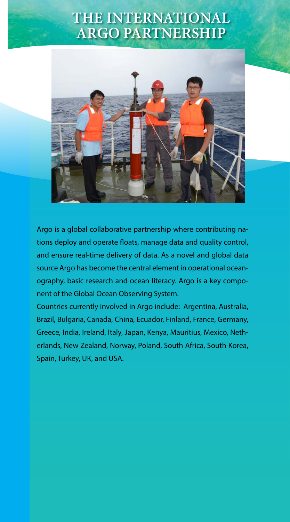### **the international argo partnership**



Argo is a global collaborative partnership where contributing nations deploy and operate floats, manage data and quality control, and ensure real-time delivery of data. As a novel and global data source Argo has become the central element in operational oceanography, basic research and ocean literacy. Argo is a key component of the Global Ocean Observing System.

Countries currently involved in Argo include: Argentina, Australia, Brazil, Bulgaria, Canada, China, Ecuador, Finland, France, Germany, Greece, India, Ireland, Italy, Japan, Kenya, Mauritius, Mexico, Netherlands, New Zealand, Norway, Poland, South Africa, South Korea, Spain, Turkey, UK, and USA.